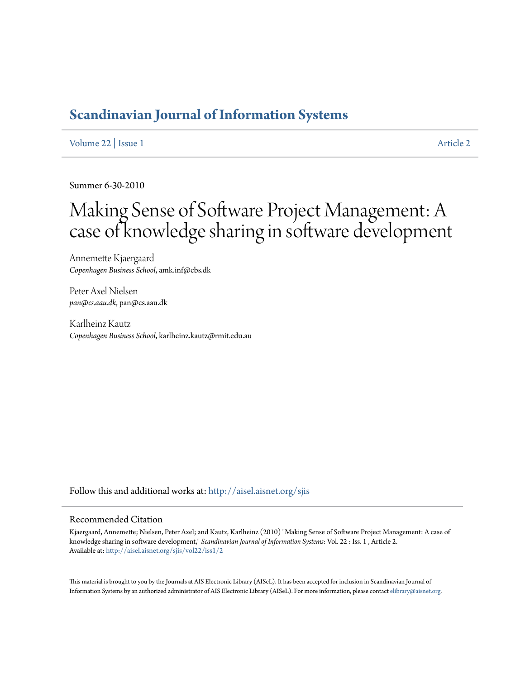# **[Scandinavian Journal of Information Systems](http://aisel.aisnet.org/sjis?utm_source=aisel.aisnet.org%2Fsjis%2Fvol22%2Fiss1%2F2&utm_medium=PDF&utm_campaign=PDFCoverPages)**

[Volume 22](http://aisel.aisnet.org/sjis/vol22?utm_source=aisel.aisnet.org%2Fsjis%2Fvol22%2Fiss1%2F2&utm_medium=PDF&utm_campaign=PDFCoverPages) | [Issue 1](http://aisel.aisnet.org/sjis/vol22/iss1?utm_source=aisel.aisnet.org%2Fsjis%2Fvol22%2Fiss1%2F2&utm_medium=PDF&utm_campaign=PDFCoverPages) [Article 2](http://aisel.aisnet.org/sjis/vol22/iss1/2?utm_source=aisel.aisnet.org%2Fsjis%2Fvol22%2Fiss1%2F2&utm_medium=PDF&utm_campaign=PDFCoverPages)

Summer 6-30-2010

# Making Sense of Software Project Management: A case of knowledge sharing in software development

Annemette Kjaergaard *Copenhagen Business School*, amk.inf@cbs.dk

Peter Axel Nielsen *pan@cs.aau.dk*, pan@cs.aau.dk

Karlheinz Kautz *Copenhagen Business School*, karlheinz.kautz@rmit.edu.au

Follow this and additional works at: [http://aisel.aisnet.org/sjis](http://aisel.aisnet.org/sjis?utm_source=aisel.aisnet.org%2Fsjis%2Fvol22%2Fiss1%2F2&utm_medium=PDF&utm_campaign=PDFCoverPages)

#### Recommended Citation

Kjaergaard, Annemette; Nielsen, Peter Axel; and Kautz, Karlheinz (2010) "Making Sense of Software Project Management: A case of knowledge sharing in software development," *Scandinavian Journal of Information Systems*: Vol. 22 : Iss. 1 , Article 2. Available at: [http://aisel.aisnet.org/sjis/vol22/iss1/2](http://aisel.aisnet.org/sjis/vol22/iss1/2?utm_source=aisel.aisnet.org%2Fsjis%2Fvol22%2Fiss1%2F2&utm_medium=PDF&utm_campaign=PDFCoverPages)

This material is brought to you by the Journals at AIS Electronic Library (AISeL). It has been accepted for inclusion in Scandinavian Journal of Information Systems by an authorized administrator of AIS Electronic Library (AISeL). For more information, please contact [elibrary@aisnet.org.](mailto:elibrary@aisnet.org%3E)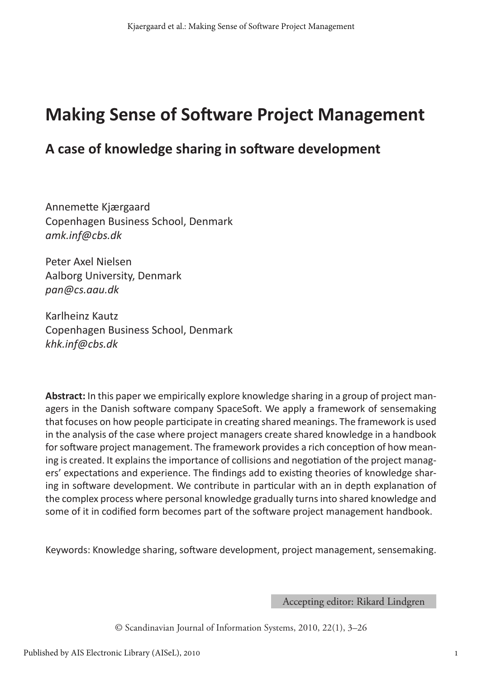# **Making Sense of Software Project Management**

### **A case of knowledge sharing in software development**

Annemette Kjærgaard Copenhagen Business School, Denmark *amk.inf@cbs.dk*

Peter Axel Nielsen Aalborg University, Denmark *pan@cs.aau.dk*

Karlheinz Kautz Copenhagen Business School, Denmark *khk.inf@cbs.dk*

**Abstract:** In this paper we empirically explore knowledge sharing in a group of project managers in the Danish software company SpaceSoft. We apply a framework of sensemaking that focuses on how people participate in creating shared meanings. The framework is used in the analysis of the case where project managers create shared knowledge in a handbook for software project management. The framework provides a rich conception of how meaning is created. It explains the importance of collisions and negotiation of the project managers' expectations and experience. The findings add to existing theories of knowledge sharing in software development. We contribute in particular with an in depth explanation of the complex process where personal knowledge gradually turns into shared knowledge and some of it in codified form becomes part of the software project management handbook.

Keywords: Knowledge sharing, software development, project management, sensemaking.

Accepting editor: Rikard Lindgren

© Scandinavian Journal of Information Systems, 2010, 22(1), 3–26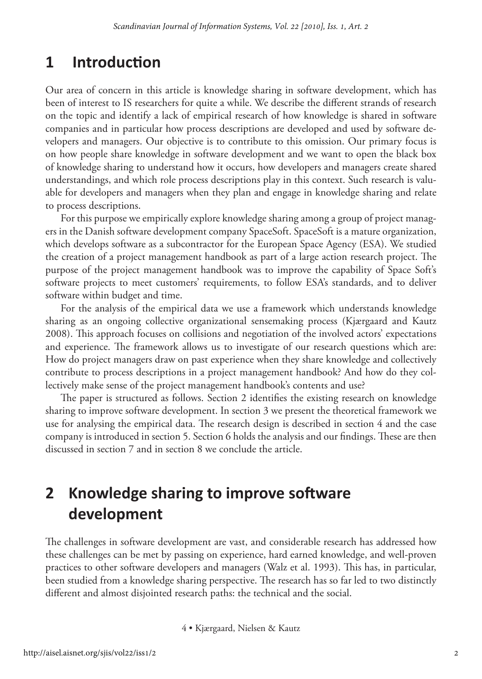## **1 Introduction**

Our area of concern in this article is knowledge sharing in software development, which has been of interest to IS researchers for quite a while. We describe the different strands of research on the topic and identify a lack of empirical research of how knowledge is shared in software companies and in particular how process descriptions are developed and used by software developers and managers. Our objective is to contribute to this omission. Our primary focus is on how people share knowledge in software development and we want to open the black box of knowledge sharing to understand how it occurs, how developers and managers create shared understandings, and which role process descriptions play in this context. Such research is valuable for developers and managers when they plan and engage in knowledge sharing and relate to process descriptions.

For this purpose we empirically explore knowledge sharing among a group of project managers in the Danish software development company SpaceSoft. SpaceSoft is a mature organization, which develops software as a subcontractor for the European Space Agency (ESA). We studied the creation of a project management handbook as part of a large action research project. The purpose of the project management handbook was to improve the capability of Space Soft's software projects to meet customers' requirements, to follow ESA's standards, and to deliver software within budget and time.

For the analysis of the empirical data we use a framework which understands knowledge sharing as an ongoing collective organizational sensemaking process (Kjærgaard and Kautz 2008). This approach focuses on collisions and negotiation of the involved actors' expectations and experience. The framework allows us to investigate of our research questions which are: How do project managers draw on past experience when they share knowledge and collectively contribute to process descriptions in a project management handbook? And how do they collectively make sense of the project management handbook's contents and use?

The paper is structured as follows. Section 2 identifies the existing research on knowledge sharing to improve software development. In section 3 we present the theoretical framework we use for analysing the empirical data. The research design is described in section 4 and the case company is introduced in section 5. Section 6 holds the analysis and our findings. These are then discussed in section 7 and in section 8 we conclude the article.

# **2 Knowledge sharing to improve software development**

The challenges in software development are vast, and considerable research has addressed how these challenges can be met by passing on experience, hard earned knowledge, and well-proven practices to other software developers and managers (Walz et al. 1993). This has, in particular, been studied from a knowledge sharing perspective. The research has so far led to two distinctly different and almost disjointed research paths: the technical and the social.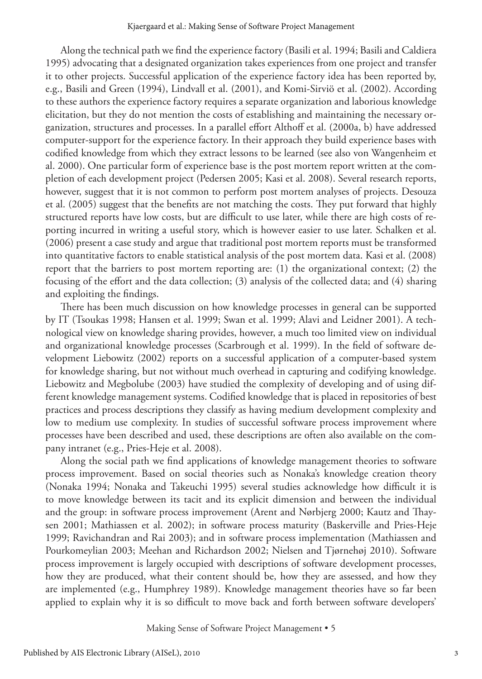Along the technical path we find the experience factory (Basili et al. 1994; Basili and Caldiera 1995) advocating that a designated organization takes experiences from one project and transfer it to other projects. Successful application of the experience factory idea has been reported by, e.g., Basili and Green (1994), Lindvall et al. (2001), and Komi-Sirviö et al. (2002). According to these authors the experience factory requires a separate organization and laborious knowledge elicitation, but they do not mention the costs of establishing and maintaining the necessary organization, structures and processes. In a parallel effort Althoff et al. (2000a, b) have addressed computer-support for the experience factory. In their approach they build experience bases with codified knowledge from which they extract lessons to be learned (see also von Wangenheim et al. 2000). One particular form of experience base is the post mortem report written at the completion of each development project (Pedersen 2005; Kasi et al. 2008). Several research reports, however, suggest that it is not common to perform post mortem analyses of projects. Desouza et al. (2005) suggest that the benefits are not matching the costs. They put forward that highly structured reports have low costs, but are difficult to use later, while there are high costs of reporting incurred in writing a useful story, which is however easier to use later. Schalken et al. (2006) present a case study and argue that traditional post mortem reports must be transformed into quantitative factors to enable statistical analysis of the post mortem data. Kasi et al. (2008) report that the barriers to post mortem reporting are: (1) the organizational context; (2) the focusing of the effort and the data collection; (3) analysis of the collected data; and (4) sharing and exploiting the findings.

There has been much discussion on how knowledge processes in general can be supported by IT (Tsoukas 1998; Hansen et al. 1999; Swan et al. 1999; Alavi and Leidner 2001). A technological view on knowledge sharing provides, however, a much too limited view on individual and organizational knowledge processes (Scarbrough et al. 1999). In the field of software development Liebowitz (2002) reports on a successful application of a computer-based system for knowledge sharing, but not without much overhead in capturing and codifying knowledge. Liebowitz and Megbolube (2003) have studied the complexity of developing and of using different knowledge management systems. Codified knowledge that is placed in repositories of best practices and process descriptions they classify as having medium development complexity and low to medium use complexity. In studies of successful software process improvement where processes have been described and used, these descriptions are often also available on the company intranet (e.g., Pries-Heje et al. 2008).

Along the social path we find applications of knowledge management theories to software process improvement. Based on social theories such as Nonaka's knowledge creation theory (Nonaka 1994; Nonaka and Takeuchi 1995) several studies acknowledge how difficult it is to move knowledge between its tacit and its explicit dimension and between the individual and the group: in software process improvement (Arent and Nørbjerg 2000; Kautz and Thaysen 2001; Mathiassen et al. 2002); in software process maturity (Baskerville and Pries-Heje 1999; Ravichandran and Rai 2003); and in software process implementation (Mathiassen and Pourkomeylian 2003; Meehan and Richardson 2002; Nielsen and Tjørnehøj 2010). Software process improvement is largely occupied with descriptions of software development processes, how they are produced, what their content should be, how they are assessed, and how they are implemented (e.g., Humphrey 1989). Knowledge management theories have so far been applied to explain why it is so difficult to move back and forth between software developers'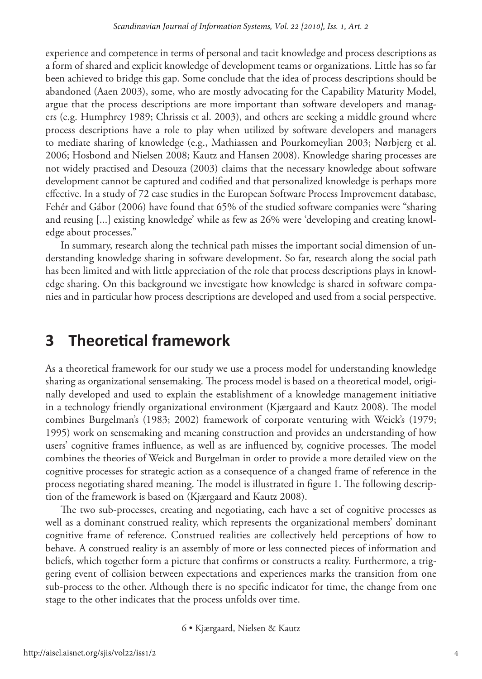experience and competence in terms of personal and tacit knowledge and process descriptions as a form of shared and explicit knowledge of development teams or organizations. Little has so far been achieved to bridge this gap. Some conclude that the idea of process descriptions should be abandoned (Aaen 2003), some, who are mostly advocating for the Capability Maturity Model, argue that the process descriptions are more important than software developers and managers (e.g. Humphrey 1989; Chrissis et al. 2003), and others are seeking a middle ground where process descriptions have a role to play when utilized by software developers and managers to mediate sharing of knowledge (e.g., Mathiassen and Pourkomeylian 2003; Nørbjerg et al. 2006; Hosbond and Nielsen 2008; Kautz and Hansen 2008). Knowledge sharing processes are not widely practised and Desouza (2003) claims that the necessary knowledge about software development cannot be captured and codified and that personalized knowledge is perhaps more effective. In a study of 72 case studies in the European Software Process Improvement database, Fehér and Gábor (2006) have found that 65% of the studied software companies were "sharing and reusing [...] existing knowledge' while as few as 26% were 'developing and creating knowledge about processes."

In summary, research along the technical path misses the important social dimension of understanding knowledge sharing in software development. So far, research along the social path has been limited and with little appreciation of the role that process descriptions plays in knowledge sharing. On this background we investigate how knowledge is shared in software companies and in particular how process descriptions are developed and used from a social perspective.

## **3 Theoretical framework**

As a theoretical framework for our study we use a process model for understanding knowledge sharing as organizational sensemaking. The process model is based on a theoretical model, originally developed and used to explain the establishment of a knowledge management initiative in a technology friendly organizational environment (Kjærgaard and Kautz 2008). The model combines Burgelman's (1983; 2002) framework of corporate venturing with Weick's (1979; 1995) work on sensemaking and meaning construction and provides an understanding of how users' cognitive frames influence, as well as are influenced by, cognitive processes. The model combines the theories of Weick and Burgelman in order to provide a more detailed view on the cognitive processes for strategic action as a consequence of a changed frame of reference in the process negotiating shared meaning. The model is illustrated in figure 1. The following description of the framework is based on (Kjærgaard and Kautz 2008).

The two sub-processes, creating and negotiating, each have a set of cognitive processes as well as a dominant construed reality, which represents the organizational members' dominant cognitive frame of reference. Construed realities are collectively held perceptions of how to behave. A construed reality is an assembly of more or less connected pieces of information and beliefs, which together form a picture that confirms or constructs a reality. Furthermore, a triggering event of collision between expectations and experiences marks the transition from one sub-process to the other. Although there is no specific indicator for time, the change from one stage to the other indicates that the process unfolds over time.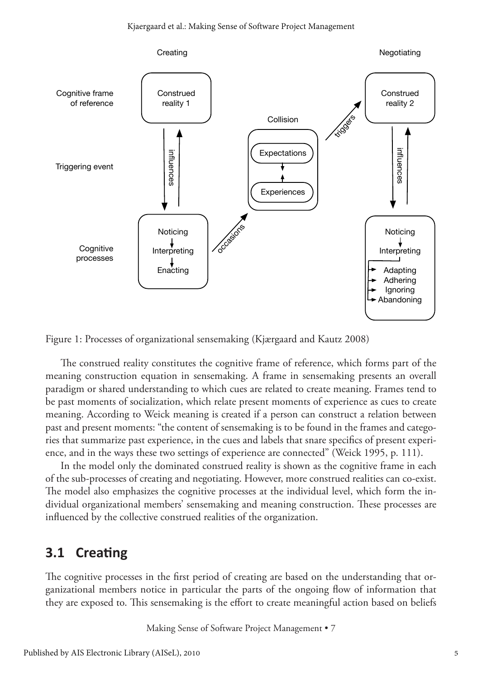

Figure 1: Processes of organizational sensemaking (Kjærgaard and Kautz 2008)

The construed reality constitutes the cognitive frame of reference, which forms part of the meaning construction equation in sensemaking. A frame in sensemaking presents an overall paradigm or shared understanding to which cues are related to create meaning. Frames tend to be past moments of socialization, which relate present moments of experience as cues to create meaning. According to Weick meaning is created if a person can construct a relation between past and present moments: "the content of sensemaking is to be found in the frames and categories that summarize past experience, in the cues and labels that snare specifics of present experience, and in the ways these two settings of experience are connected" (Weick 1995, p. 111).

In the model only the dominated construed reality is shown as the cognitive frame in each of the sub-processes of creating and negotiating. However, more construed realities can co-exist. The model also emphasizes the cognitive processes at the individual level, which form the individual organizational members' sensemaking and meaning construction. These processes are influenced by the collective construed realities of the organization.

#### **3.1 Creating**

The cognitive processes in the first period of creating are based on the understanding that organizational members notice in particular the parts of the ongoing flow of information that they are exposed to. This sensemaking is the effort to create meaningful action based on beliefs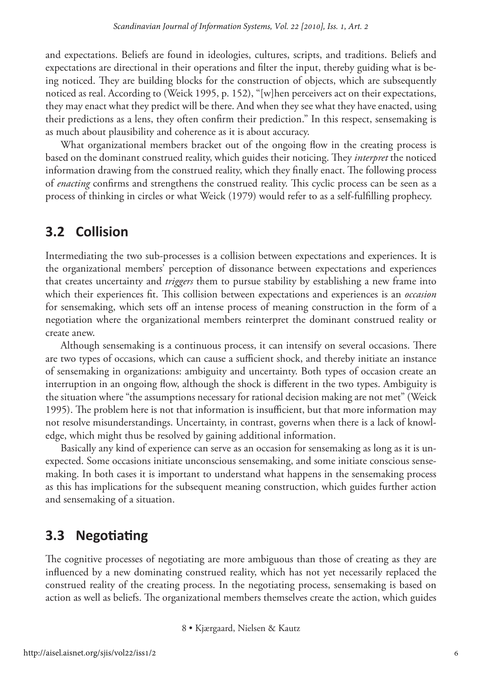and expectations. Beliefs are found in ideologies, cultures, scripts, and traditions. Beliefs and expectations are directional in their operations and filter the input, thereby guiding what is being noticed. They are building blocks for the construction of objects, which are subsequently noticed as real. According to (Weick 1995, p. 152), "[w]hen perceivers act on their expectations, they may enact what they predict will be there. And when they see what they have enacted, using their predictions as a lens, they often confirm their prediction." In this respect, sensemaking is as much about plausibility and coherence as it is about accuracy.

What organizational members bracket out of the ongoing flow in the creating process is based on the dominant construed reality, which guides their noticing. They *interpret* the noticed information drawing from the construed reality, which they finally enact. The following process of *enacting* confirms and strengthens the construed reality. This cyclic process can be seen as a process of thinking in circles or what Weick (1979) would refer to as a self-fulfilling prophecy.

#### **3.2 Collision**

Intermediating the two sub-processes is a collision between expectations and experiences. It is the organizational members' perception of dissonance between expectations and experiences that creates uncertainty and *triggers* them to pursue stability by establishing a new frame into which their experiences fit. This collision between expectations and experiences is an *occasion* for sensemaking, which sets off an intense process of meaning construction in the form of a negotiation where the organizational members reinterpret the dominant construed reality or create anew.

Although sensemaking is a continuous process, it can intensify on several occasions. There are two types of occasions, which can cause a sufficient shock, and thereby initiate an instance of sensemaking in organizations: ambiguity and uncertainty. Both types of occasion create an interruption in an ongoing flow, although the shock is different in the two types. Ambiguity is the situation where "the assumptions necessary for rational decision making are not met" (Weick 1995). The problem here is not that information is insufficient, but that more information may not resolve misunderstandings. Uncertainty, in contrast, governs when there is a lack of knowledge, which might thus be resolved by gaining additional information.

Basically any kind of experience can serve as an occasion for sensemaking as long as it is unexpected. Some occasions initiate unconscious sensemaking, and some initiate conscious sensemaking. In both cases it is important to understand what happens in the sensemaking process as this has implications for the subsequent meaning construction, which guides further action and sensemaking of a situation.

#### **3.3 Negotiating**

The cognitive processes of negotiating are more ambiguous than those of creating as they are influenced by a new dominating construed reality, which has not yet necessarily replaced the construed reality of the creating process. In the negotiating process, sensemaking is based on action as well as beliefs. The organizational members themselves create the action, which guides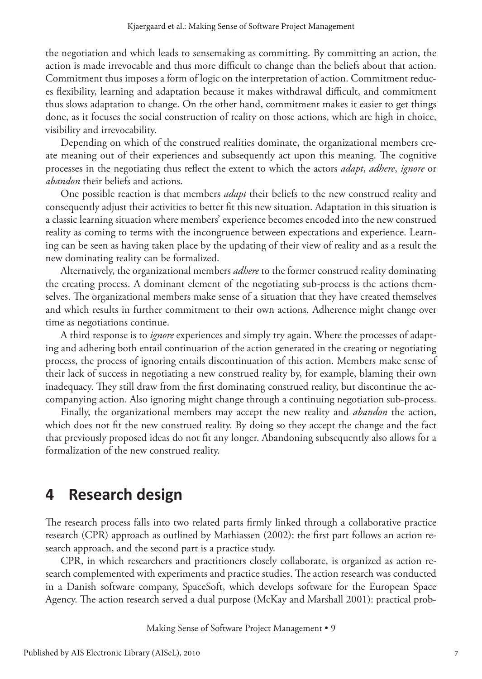the negotiation and which leads to sensemaking as committing. By committing an action, the action is made irrevocable and thus more difficult to change than the beliefs about that action. Commitment thus imposes a form of logic on the interpretation of action. Commitment reduces flexibility, learning and adaptation because it makes withdrawal difficult, and commitment thus slows adaptation to change. On the other hand, commitment makes it easier to get things done, as it focuses the social construction of reality on those actions, which are high in choice, visibility and irrevocability.

Depending on which of the construed realities dominate, the organizational members create meaning out of their experiences and subsequently act upon this meaning. The cognitive processes in the negotiating thus reflect the extent to which the actors *adapt*, *adhere*, *ignore* or *abandon* their beliefs and actions.

One possible reaction is that members *adapt* their beliefs to the new construed reality and consequently adjust their activities to better fit this new situation. Adaptation in this situation is a classic learning situation where members' experience becomes encoded into the new construed reality as coming to terms with the incongruence between expectations and experience. Learning can be seen as having taken place by the updating of their view of reality and as a result the new dominating reality can be formalized.

Alternatively, the organizational members *adhere* to the former construed reality dominating the creating process. A dominant element of the negotiating sub-process is the actions themselves. The organizational members make sense of a situation that they have created themselves and which results in further commitment to their own actions. Adherence might change over time as negotiations continue.

A third response is to *ignore* experiences and simply try again. Where the processes of adapting and adhering both entail continuation of the action generated in the creating or negotiating process, the process of ignoring entails discontinuation of this action. Members make sense of their lack of success in negotiating a new construed reality by, for example, blaming their own inadequacy. They still draw from the first dominating construed reality, but discontinue the accompanying action. Also ignoring might change through a continuing negotiation sub-process.

Finally, the organizational members may accept the new reality and *abandon* the action, which does not fit the new construed reality. By doing so they accept the change and the fact that previously proposed ideas do not fit any longer. Abandoning subsequently also allows for a formalization of the new construed reality.

## **4 Research design**

The research process falls into two related parts firmly linked through a collaborative practice research (CPR) approach as outlined by Mathiassen (2002): the first part follows an action research approach, and the second part is a practice study.

CPR, in which researchers and practitioners closely collaborate, is organized as action research complemented with experiments and practice studies. The action research was conducted in a Danish software company, SpaceSoft, which develops software for the European Space Agency. The action research served a dual purpose (McKay and Marshall 2001): practical prob-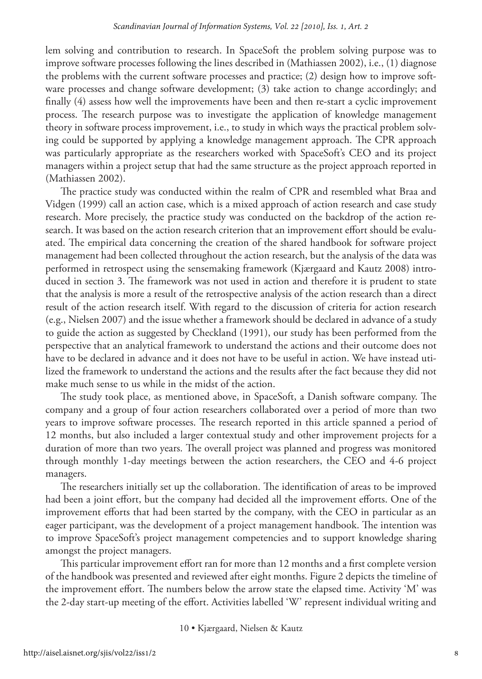lem solving and contribution to research. In SpaceSoft the problem solving purpose was to improve software processes following the lines described in (Mathiassen 2002), i.e., (1) diagnose the problems with the current software processes and practice; (2) design how to improve software processes and change software development; (3) take action to change accordingly; and finally (4) assess how well the improvements have been and then re-start a cyclic improvement process. The research purpose was to investigate the application of knowledge management theory in software process improvement, i.e., to study in which ways the practical problem solving could be supported by applying a knowledge management approach. The CPR approach was particularly appropriate as the researchers worked with SpaceSoft's CEO and its project managers within a project setup that had the same structure as the project approach reported in (Mathiassen 2002).

The practice study was conducted within the realm of CPR and resembled what Braa and Vidgen (1999) call an action case, which is a mixed approach of action research and case study research. More precisely, the practice study was conducted on the backdrop of the action research. It was based on the action research criterion that an improvement effort should be evaluated. The empirical data concerning the creation of the shared handbook for software project management had been collected throughout the action research, but the analysis of the data was performed in retrospect using the sensemaking framework (Kjærgaard and Kautz 2008) introduced in section 3. The framework was not used in action and therefore it is prudent to state that the analysis is more a result of the retrospective analysis of the action research than a direct result of the action research itself. With regard to the discussion of criteria for action research (e.g., Nielsen 2007) and the issue whether a framework should be declared in advance of a study to guide the action as suggested by Checkland (1991), our study has been performed from the perspective that an analytical framework to understand the actions and their outcome does not have to be declared in advance and it does not have to be useful in action. We have instead utilized the framework to understand the actions and the results after the fact because they did not make much sense to us while in the midst of the action.

The study took place, as mentioned above, in SpaceSoft, a Danish software company. The company and a group of four action researchers collaborated over a period of more than two years to improve software processes. The research reported in this article spanned a period of 12 months, but also included a larger contextual study and other improvement projects for a duration of more than two years. The overall project was planned and progress was monitored through monthly 1-day meetings between the action researchers, the CEO and 4-6 project managers.

The researchers initially set up the collaboration. The identification of areas to be improved had been a joint effort, but the company had decided all the improvement efforts. One of the improvement efforts that had been started by the company, with the CEO in particular as an eager participant, was the development of a project management handbook. The intention was to improve SpaceSoft's project management competencies and to support knowledge sharing amongst the project managers.

This particular improvement effort ran for more than 12 months and a first complete version of the handbook was presented and reviewed after eight months. Figure 2 depicts the timeline of the improvement effort. The numbers below the arrow state the elapsed time. Activity 'M' was the 2-day start-up meeting of the effort. Activities labelled 'W' represent individual writing and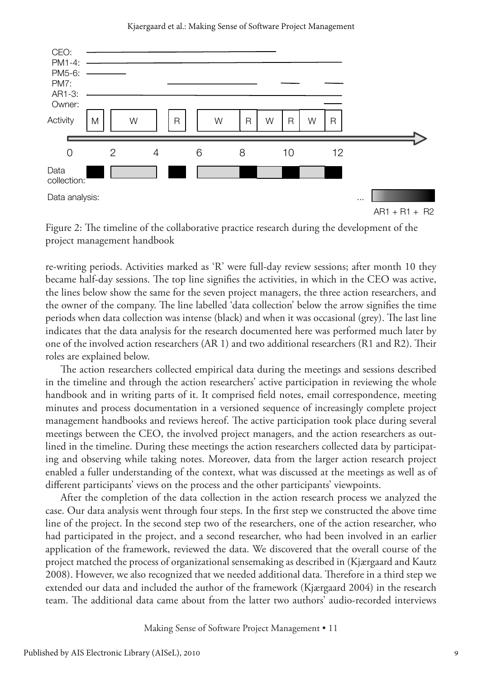Kjaergaard et al.: Making Sense of Software Project Management



Figure 2: The timeline of the collaborative practice research during the development of the project management handbook

re-writing periods. Activities marked as 'R' were full-day review sessions; after month 10 they became half-day sessions. The top line signifies the activities, in which in the CEO was active, the lines below show the same for the seven project managers, the three action researchers, and the owner of the company. The line labelled 'data collection' below the arrow signifies the time periods when data collection was intense (black) and when it was occasional (grey). The last line indicates that the data analysis for the research documented here was performed much later by one of the involved action researchers (AR 1) and two additional researchers (R1 and R2). Their roles are explained below.

The action researchers collected empirical data during the meetings and sessions described in the timeline and through the action researchers' active participation in reviewing the whole handbook and in writing parts of it. It comprised field notes, email correspondence, meeting minutes and process documentation in a versioned sequence of increasingly complete project management handbooks and reviews hereof. The active participation took place during several meetings between the CEO, the involved project managers, and the action researchers as outlined in the timeline. During these meetings the action researchers collected data by participating and observing while taking notes. Moreover, data from the larger action research project enabled a fuller understanding of the context, what was discussed at the meetings as well as of different participants' views on the process and the other participants' viewpoints.

After the completion of the data collection in the action research process we analyzed the case. Our data analysis went through four steps. In the first step we constructed the above time line of the project. In the second step two of the researchers, one of the action researcher, who had participated in the project, and a second researcher, who had been involved in an earlier application of the framework, reviewed the data. We discovered that the overall course of the project matched the process of organizational sensemaking as described in (Kjærgaard and Kautz 2008). However, we also recognized that we needed additional data. Therefore in a third step we extended our data and included the author of the framework (Kjærgaard 2004) in the research team. The additional data came about from the latter two authors' audio-recorded interviews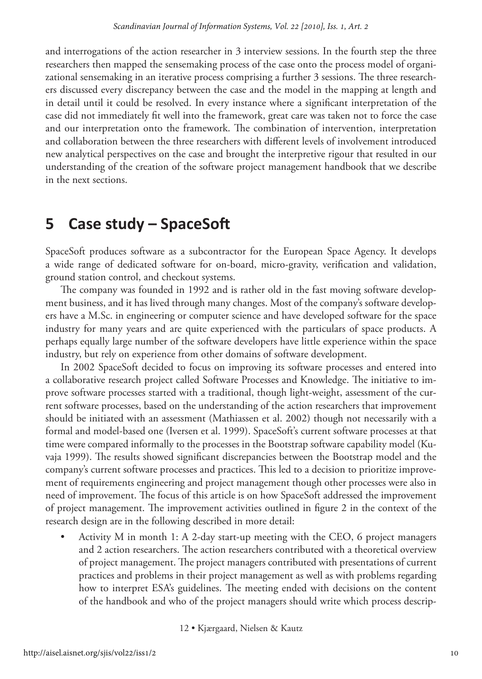and interrogations of the action researcher in 3 interview sessions. In the fourth step the three researchers then mapped the sensemaking process of the case onto the process model of organizational sensemaking in an iterative process comprising a further 3 sessions. The three researchers discussed every discrepancy between the case and the model in the mapping at length and in detail until it could be resolved. In every instance where a significant interpretation of the case did not immediately fit well into the framework, great care was taken not to force the case and our interpretation onto the framework. The combination of intervention, interpretation and collaboration between the three researchers with different levels of involvement introduced new analytical perspectives on the case and brought the interpretive rigour that resulted in our understanding of the creation of the software project management handbook that we describe in the next sections.

## **5 Case study – SpaceSoft**

SpaceSoft produces software as a subcontractor for the European Space Agency. It develops a wide range of dedicated software for on-board, micro-gravity, verification and validation, ground station control, and checkout systems.

The company was founded in 1992 and is rather old in the fast moving software development business, and it has lived through many changes. Most of the company's software developers have a M.Sc. in engineering or computer science and have developed software for the space industry for many years and are quite experienced with the particulars of space products. A perhaps equally large number of the software developers have little experience within the space industry, but rely on experience from other domains of software development.

In 2002 SpaceSoft decided to focus on improving its software processes and entered into a collaborative research project called Software Processes and Knowledge. The initiative to improve software processes started with a traditional, though light-weight, assessment of the current software processes, based on the understanding of the action researchers that improvement should be initiated with an assessment (Mathiassen et al. 2002) though not necessarily with a formal and model-based one (Iversen et al. 1999). SpaceSoft's current software processes at that time were compared informally to the processes in the Bootstrap software capability model (Kuvaja 1999). The results showed significant discrepancies between the Bootstrap model and the company's current software processes and practices. This led to a decision to prioritize improvement of requirements engineering and project management though other processes were also in need of improvement. The focus of this article is on how SpaceSoft addressed the improvement of project management. The improvement activities outlined in figure 2 in the context of the research design are in the following described in more detail:

• Activity M in month 1: A 2-day start-up meeting with the CEO, 6 project managers and 2 action researchers. The action researchers contributed with a theoretical overview of project management. The project managers contributed with presentations of current practices and problems in their project management as well as with problems regarding how to interpret ESA's guidelines. The meeting ended with decisions on the content of the handbook and who of the project managers should write which process descrip-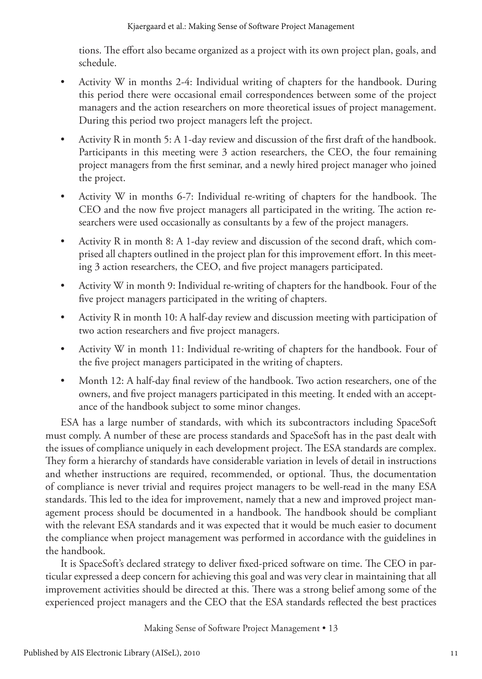tions. The effort also became organized as a project with its own project plan, goals, and schedule.

- Activity W in months 2-4: Individual writing of chapters for the handbook. During this period there were occasional email correspondences between some of the project managers and the action researchers on more theoretical issues of project management. During this period two project managers left the project.
- Activity R in month 5: A 1-day review and discussion of the first draft of the handbook. Participants in this meeting were 3 action researchers, the CEO, the four remaining project managers from the first seminar, and a newly hired project manager who joined the project.
- Activity W in months 6-7: Individual re-writing of chapters for the handbook. The CEO and the now five project managers all participated in the writing. The action researchers were used occasionally as consultants by a few of the project managers.
- Activity R in month 8: A 1-day review and discussion of the second draft, which comprised all chapters outlined in the project plan for this improvement effort. In this meeting 3 action researchers, the CEO, and five project managers participated.
- Activity W in month 9: Individual re-writing of chapters for the handbook. Four of the five project managers participated in the writing of chapters.
- Activity R in month 10: A half-day review and discussion meeting with participation of two action researchers and five project managers.
- Activity W in month 11: Individual re-writing of chapters for the handbook. Four of the five project managers participated in the writing of chapters.
- Month 12: A half-day final review of the handbook. Two action researchers, one of the owners, and five project managers participated in this meeting. It ended with an acceptance of the handbook subject to some minor changes.

ESA has a large number of standards, with which its subcontractors including SpaceSoft must comply. A number of these are process standards and SpaceSoft has in the past dealt with the issues of compliance uniquely in each development project. The ESA standards are complex. They form a hierarchy of standards have considerable variation in levels of detail in instructions and whether instructions are required, recommended, or optional. Thus, the documentation of compliance is never trivial and requires project managers to be well-read in the many ESA standards. This led to the idea for improvement, namely that a new and improved project management process should be documented in a handbook. The handbook should be compliant with the relevant ESA standards and it was expected that it would be much easier to document the compliance when project management was performed in accordance with the guidelines in the handbook.

It is SpaceSoft's declared strategy to deliver fixed-priced software on time. The CEO in particular expressed a deep concern for achieving this goal and was very clear in maintaining that all improvement activities should be directed at this. There was a strong belief among some of the experienced project managers and the CEO that the ESA standards reflected the best practices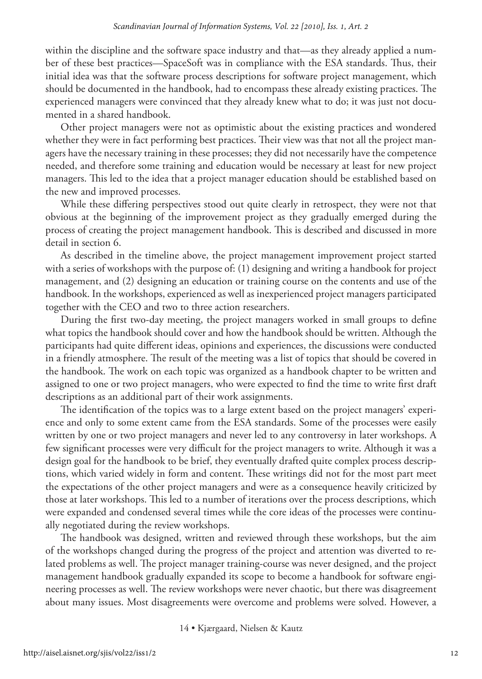within the discipline and the software space industry and that—as they already applied a number of these best practices—SpaceSoft was in compliance with the ESA standards. Thus, their initial idea was that the software process descriptions for software project management, which should be documented in the handbook, had to encompass these already existing practices. The experienced managers were convinced that they already knew what to do; it was just not documented in a shared handbook.

Other project managers were not as optimistic about the existing practices and wondered whether they were in fact performing best practices. Their view was that not all the project managers have the necessary training in these processes; they did not necessarily have the competence needed, and therefore some training and education would be necessary at least for new project managers. This led to the idea that a project manager education should be established based on the new and improved processes.

While these differing perspectives stood out quite clearly in retrospect, they were not that obvious at the beginning of the improvement project as they gradually emerged during the process of creating the project management handbook. This is described and discussed in more detail in section 6.

As described in the timeline above, the project management improvement project started with a series of workshops with the purpose of: (1) designing and writing a handbook for project management, and (2) designing an education or training course on the contents and use of the handbook. In the workshops, experienced as well as inexperienced project managers participated together with the CEO and two to three action researchers.

During the first two-day meeting, the project managers worked in small groups to define what topics the handbook should cover and how the handbook should be written. Although the participants had quite different ideas, opinions and experiences, the discussions were conducted in a friendly atmosphere. The result of the meeting was a list of topics that should be covered in the handbook. The work on each topic was organized as a handbook chapter to be written and assigned to one or two project managers, who were expected to find the time to write first draft descriptions as an additional part of their work assignments.

The identification of the topics was to a large extent based on the project managers' experience and only to some extent came from the ESA standards. Some of the processes were easily written by one or two project managers and never led to any controversy in later workshops. A few significant processes were very difficult for the project managers to write. Although it was a design goal for the handbook to be brief, they eventually drafted quite complex process descriptions, which varied widely in form and content. These writings did not for the most part meet the expectations of the other project managers and were as a consequence heavily criticized by those at later workshops. This led to a number of iterations over the process descriptions, which were expanded and condensed several times while the core ideas of the processes were continually negotiated during the review workshops.

The handbook was designed, written and reviewed through these workshops, but the aim of the workshops changed during the progress of the project and attention was diverted to related problems as well. The project manager training-course was never designed, and the project management handbook gradually expanded its scope to become a handbook for software engineering processes as well. The review workshops were never chaotic, but there was disagreement about many issues. Most disagreements were overcome and problems were solved. However, a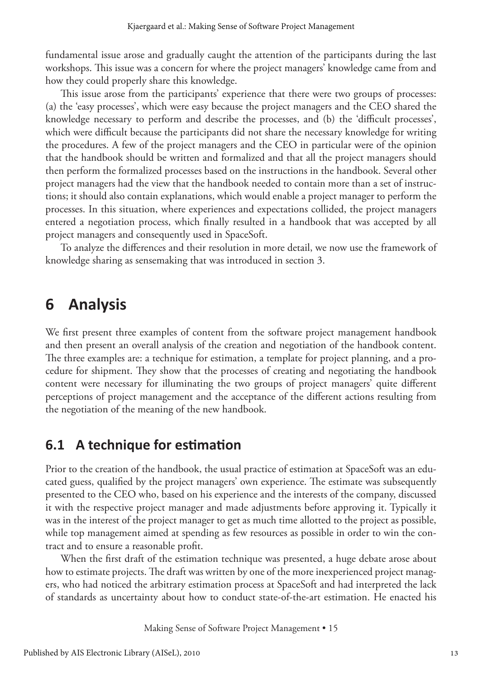fundamental issue arose and gradually caught the attention of the participants during the last workshops. This issue was a concern for where the project managers' knowledge came from and how they could properly share this knowledge.

This issue arose from the participants' experience that there were two groups of processes: (a) the 'easy processes', which were easy because the project managers and the CEO shared the knowledge necessary to perform and describe the processes, and (b) the 'difficult processes', which were difficult because the participants did not share the necessary knowledge for writing the procedures. A few of the project managers and the CEO in particular were of the opinion that the handbook should be written and formalized and that all the project managers should then perform the formalized processes based on the instructions in the handbook. Several other project managers had the view that the handbook needed to contain more than a set of instructions; it should also contain explanations, which would enable a project manager to perform the processes. In this situation, where experiences and expectations collided, the project managers entered a negotiation process, which finally resulted in a handbook that was accepted by all project managers and consequently used in SpaceSoft.

To analyze the differences and their resolution in more detail, we now use the framework of knowledge sharing as sensemaking that was introduced in section 3.

## **6 Analysis**

We first present three examples of content from the software project management handbook and then present an overall analysis of the creation and negotiation of the handbook content. The three examples are: a technique for estimation, a template for project planning, and a procedure for shipment. They show that the processes of creating and negotiating the handbook content were necessary for illuminating the two groups of project managers' quite different perceptions of project management and the acceptance of the different actions resulting from the negotiation of the meaning of the new handbook.

#### **6.1 A technique for estimation**

Prior to the creation of the handbook, the usual practice of estimation at SpaceSoft was an educated guess, qualified by the project managers' own experience. The estimate was subsequently presented to the CEO who, based on his experience and the interests of the company, discussed it with the respective project manager and made adjustments before approving it. Typically it was in the interest of the project manager to get as much time allotted to the project as possible, while top management aimed at spending as few resources as possible in order to win the contract and to ensure a reasonable profit.

When the first draft of the estimation technique was presented, a huge debate arose about how to estimate projects. The draft was written by one of the more inexperienced project managers, who had noticed the arbitrary estimation process at SpaceSoft and had interpreted the lack of standards as uncertainty about how to conduct state-of-the-art estimation. He enacted his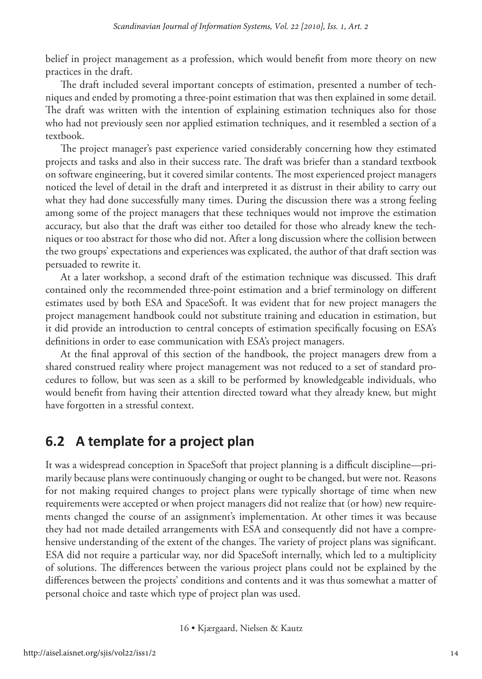belief in project management as a profession, which would benefit from more theory on new practices in the draft.

The draft included several important concepts of estimation, presented a number of techniques and ended by promoting a three-point estimation that was then explained in some detail. The draft was written with the intention of explaining estimation techniques also for those who had not previously seen nor applied estimation techniques, and it resembled a section of a textbook.

The project manager's past experience varied considerably concerning how they estimated projects and tasks and also in their success rate. The draft was briefer than a standard textbook on software engineering, but it covered similar contents. The most experienced project managers noticed the level of detail in the draft and interpreted it as distrust in their ability to carry out what they had done successfully many times. During the discussion there was a strong feeling among some of the project managers that these techniques would not improve the estimation accuracy, but also that the draft was either too detailed for those who already knew the techniques or too abstract for those who did not. After a long discussion where the collision between the two groups' expectations and experiences was explicated, the author of that draft section was persuaded to rewrite it.

At a later workshop, a second draft of the estimation technique was discussed. This draft contained only the recommended three-point estimation and a brief terminology on different estimates used by both ESA and SpaceSoft. It was evident that for new project managers the project management handbook could not substitute training and education in estimation, but it did provide an introduction to central concepts of estimation specifically focusing on ESA's definitions in order to ease communication with ESA's project managers.

At the final approval of this section of the handbook, the project managers drew from a shared construed reality where project management was not reduced to a set of standard procedures to follow, but was seen as a skill to be performed by knowledgeable individuals, who would benefit from having their attention directed toward what they already knew, but might have forgotten in a stressful context.

#### **6.2 A template for a project plan**

It was a widespread conception in SpaceSoft that project planning is a difficult discipline—primarily because plans were continuously changing or ought to be changed, but were not. Reasons for not making required changes to project plans were typically shortage of time when new requirements were accepted or when project managers did not realize that (or how) new requirements changed the course of an assignment's implementation. At other times it was because they had not made detailed arrangements with ESA and consequently did not have a comprehensive understanding of the extent of the changes. The variety of project plans was significant. ESA did not require a particular way, nor did SpaceSoft internally, which led to a multiplicity of solutions. The differences between the various project plans could not be explained by the differences between the projects' conditions and contents and it was thus somewhat a matter of personal choice and taste which type of project plan was used.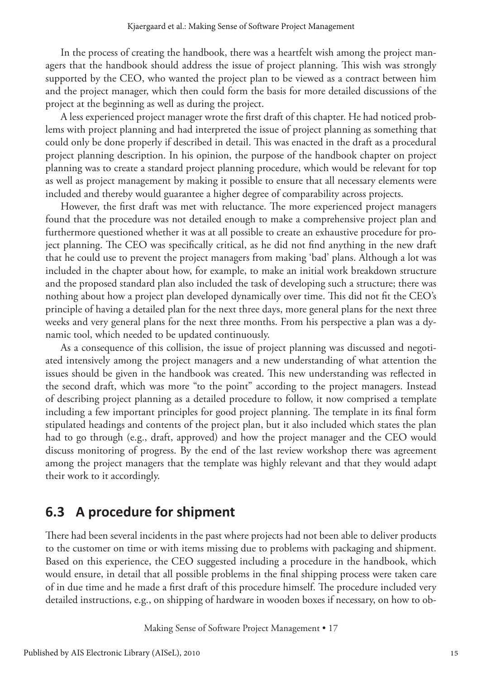In the process of creating the handbook, there was a heartfelt wish among the project managers that the handbook should address the issue of project planning. This wish was strongly supported by the CEO, who wanted the project plan to be viewed as a contract between him and the project manager, which then could form the basis for more detailed discussions of the project at the beginning as well as during the project.

A less experienced project manager wrote the first draft of this chapter. He had noticed problems with project planning and had interpreted the issue of project planning as something that could only be done properly if described in detail. This was enacted in the draft as a procedural project planning description. In his opinion, the purpose of the handbook chapter on project planning was to create a standard project planning procedure, which would be relevant for top as well as project management by making it possible to ensure that all necessary elements were included and thereby would guarantee a higher degree of comparability across projects.

However, the first draft was met with reluctance. The more experienced project managers found that the procedure was not detailed enough to make a comprehensive project plan and furthermore questioned whether it was at all possible to create an exhaustive procedure for project planning. The CEO was specifically critical, as he did not find anything in the new draft that he could use to prevent the project managers from making 'bad' plans. Although a lot was included in the chapter about how, for example, to make an initial work breakdown structure and the proposed standard plan also included the task of developing such a structure; there was nothing about how a project plan developed dynamically over time. This did not fit the CEO's principle of having a detailed plan for the next three days, more general plans for the next three weeks and very general plans for the next three months. From his perspective a plan was a dynamic tool, which needed to be updated continuously.

As a consequence of this collision, the issue of project planning was discussed and negotiated intensively among the project managers and a new understanding of what attention the issues should be given in the handbook was created. This new understanding was reflected in the second draft, which was more "to the point" according to the project managers. Instead of describing project planning as a detailed procedure to follow, it now comprised a template including a few important principles for good project planning. The template in its final form stipulated headings and contents of the project plan, but it also included which states the plan had to go through (e.g., draft, approved) and how the project manager and the CEO would discuss monitoring of progress. By the end of the last review workshop there was agreement among the project managers that the template was highly relevant and that they would adapt their work to it accordingly.

#### **6.3 A procedure for shipment**

There had been several incidents in the past where projects had not been able to deliver products to the customer on time or with items missing due to problems with packaging and shipment. Based on this experience, the CEO suggested including a procedure in the handbook, which would ensure, in detail that all possible problems in the final shipping process were taken care of in due time and he made a first draft of this procedure himself. The procedure included very detailed instructions, e.g., on shipping of hardware in wooden boxes if necessary, on how to ob-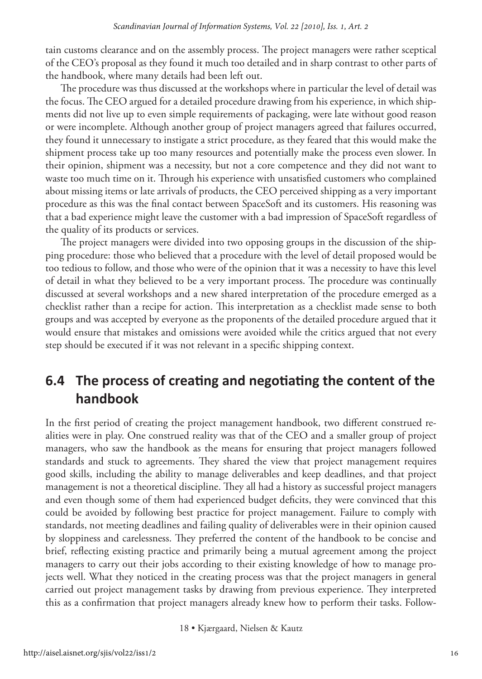tain customs clearance and on the assembly process. The project managers were rather sceptical of the CEO's proposal as they found it much too detailed and in sharp contrast to other parts of the handbook, where many details had been left out.

The procedure was thus discussed at the workshops where in particular the level of detail was the focus. The CEO argued for a detailed procedure drawing from his experience, in which shipments did not live up to even simple requirements of packaging, were late without good reason or were incomplete. Although another group of project managers agreed that failures occurred, they found it unnecessary to instigate a strict procedure, as they feared that this would make the shipment process take up too many resources and potentially make the process even slower. In their opinion, shipment was a necessity, but not a core competence and they did not want to waste too much time on it. Through his experience with unsatisfied customers who complained about missing items or late arrivals of products, the CEO perceived shipping as a very important procedure as this was the final contact between SpaceSoft and its customers. His reasoning was that a bad experience might leave the customer with a bad impression of SpaceSoft regardless of the quality of its products or services.

The project managers were divided into two opposing groups in the discussion of the shipping procedure: those who believed that a procedure with the level of detail proposed would be too tedious to follow, and those who were of the opinion that it was a necessity to have this level of detail in what they believed to be a very important process. The procedure was continually discussed at several workshops and a new shared interpretation of the procedure emerged as a checklist rather than a recipe for action. This interpretation as a checklist made sense to both groups and was accepted by everyone as the proponents of the detailed procedure argued that it would ensure that mistakes and omissions were avoided while the critics argued that not every step should be executed if it was not relevant in a specific shipping context.

#### **6.4 The process of creating and negotiating the content of the handbook**

In the first period of creating the project management handbook, two different construed realities were in play. One construed reality was that of the CEO and a smaller group of project managers, who saw the handbook as the means for ensuring that project managers followed standards and stuck to agreements. They shared the view that project management requires good skills, including the ability to manage deliverables and keep deadlines, and that project management is not a theoretical discipline. They all had a history as successful project managers and even though some of them had experienced budget deficits, they were convinced that this could be avoided by following best practice for project management. Failure to comply with standards, not meeting deadlines and failing quality of deliverables were in their opinion caused by sloppiness and carelessness. They preferred the content of the handbook to be concise and brief, reflecting existing practice and primarily being a mutual agreement among the project managers to carry out their jobs according to their existing knowledge of how to manage projects well. What they noticed in the creating process was that the project managers in general carried out project management tasks by drawing from previous experience. They interpreted this as a confirmation that project managers already knew how to perform their tasks. Follow-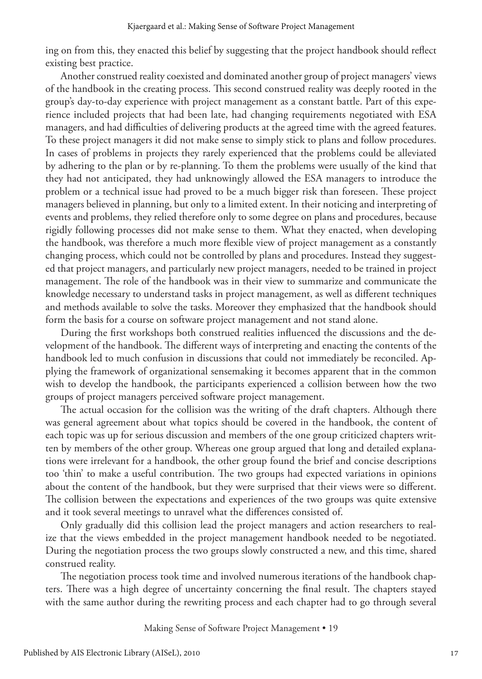ing on from this, they enacted this belief by suggesting that the project handbook should reflect existing best practice.

Another construed reality coexisted and dominated another group of project managers' views of the handbook in the creating process. This second construed reality was deeply rooted in the group's day-to-day experience with project management as a constant battle. Part of this experience included projects that had been late, had changing requirements negotiated with ESA managers, and had difficulties of delivering products at the agreed time with the agreed features. To these project managers it did not make sense to simply stick to plans and follow procedures. In cases of problems in projects they rarely experienced that the problems could be alleviated by adhering to the plan or by re-planning. To them the problems were usually of the kind that they had not anticipated, they had unknowingly allowed the ESA managers to introduce the problem or a technical issue had proved to be a much bigger risk than foreseen. These project managers believed in planning, but only to a limited extent. In their noticing and interpreting of events and problems, they relied therefore only to some degree on plans and procedures, because rigidly following processes did not make sense to them. What they enacted, when developing the handbook, was therefore a much more flexible view of project management as a constantly changing process, which could not be controlled by plans and procedures. Instead they suggested that project managers, and particularly new project managers, needed to be trained in project management. The role of the handbook was in their view to summarize and communicate the knowledge necessary to understand tasks in project management, as well as different techniques and methods available to solve the tasks. Moreover they emphasized that the handbook should form the basis for a course on software project management and not stand alone.

During the first workshops both construed realities influenced the discussions and the development of the handbook. The different ways of interpreting and enacting the contents of the handbook led to much confusion in discussions that could not immediately be reconciled. Applying the framework of organizational sensemaking it becomes apparent that in the common wish to develop the handbook, the participants experienced a collision between how the two groups of project managers perceived software project management.

The actual occasion for the collision was the writing of the draft chapters. Although there was general agreement about what topics should be covered in the handbook, the content of each topic was up for serious discussion and members of the one group criticized chapters written by members of the other group. Whereas one group argued that long and detailed explanations were irrelevant for a handbook, the other group found the brief and concise descriptions too 'thin' to make a useful contribution. The two groups had expected variations in opinions about the content of the handbook, but they were surprised that their views were so different. The collision between the expectations and experiences of the two groups was quite extensive and it took several meetings to unravel what the differences consisted of.

Only gradually did this collision lead the project managers and action researchers to realize that the views embedded in the project management handbook needed to be negotiated. During the negotiation process the two groups slowly constructed a new, and this time, shared construed reality.

The negotiation process took time and involved numerous iterations of the handbook chapters. There was a high degree of uncertainty concerning the final result. The chapters stayed with the same author during the rewriting process and each chapter had to go through several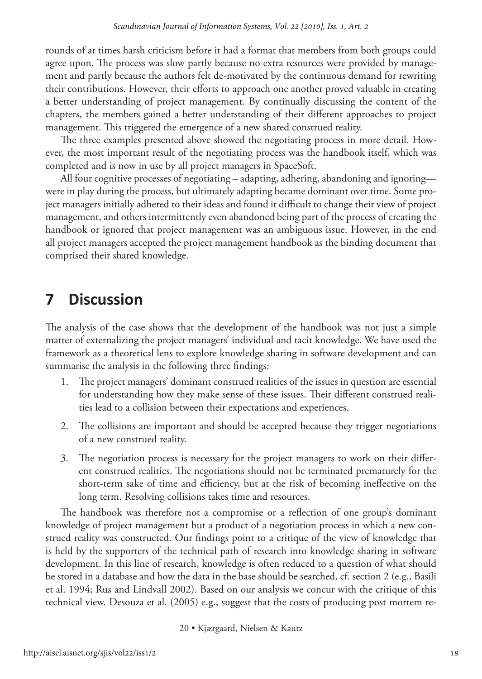rounds of at times harsh criticism before it had a format that members from both groups could agree upon. The process was slow partly because no extra resources were provided by management and partly because the authors felt de-motivated by the continuous demand for rewriting their contributions. However, their efforts to approach one another proved valuable in creating a better understanding of project management. By continually discussing the content of the chapters, the members gained a better understanding of their different approaches to project management. This triggered the emergence of a new shared construed reality.

The three examples presented above showed the negotiating process in more detail. However, the most important result of the negotiating process was the handbook itself, which was completed and is now in use by all project managers in SpaceSoft.

All four cognitive processes of negotiating – adapting, adhering, abandoning and ignoring were in play during the process, but ultimately adapting became dominant over time. Some project managers initially adhered to their ideas and found it difficult to change their view of project management, and others intermittently even abandoned being part of the process of creating the handbook or ignored that project management was an ambiguous issue. However, in the end all project managers accepted the project management handbook as the binding document that comprised their shared knowledge.

# **7 Discussion**

The analysis of the case shows that the development of the handbook was not just a simple matter of externalizing the project managers' individual and tacit knowledge. We have used the framework as a theoretical lens to explore knowledge sharing in software development and can summarise the analysis in the following three findings:

- 1. The project managers' dominant construed realities of the issues in question are essential for understanding how they make sense of these issues. Their different construed realities lead to a collision between their expectations and experiences.
- 2. The collisions are important and should be accepted because they trigger negotiations of a new construed reality.
- 3. The negotiation process is necessary for the project managers to work on their different construed realities. The negotiations should not be terminated prematurely for the short-term sake of time and efficiency, but at the risk of becoming ineffective on the long term. Resolving collisions takes time and resources.

The handbook was therefore not a compromise or a reflection of one group's dominant knowledge of project management but a product of a negotiation process in which a new construed reality was constructed. Our findings point to a critique of the view of knowledge that is held by the supporters of the technical path of research into knowledge sharing in software development. In this line of research, knowledge is often reduced to a question of what should be stored in a database and how the data in the base should be searched, cf. section 2 (e.g., Basili et al. 1994; Rus and Lindvall 2002). Based on our analysis we concur with the critique of this technical view. Desouza et al. (2005) e.g., suggest that the costs of producing post mortem re-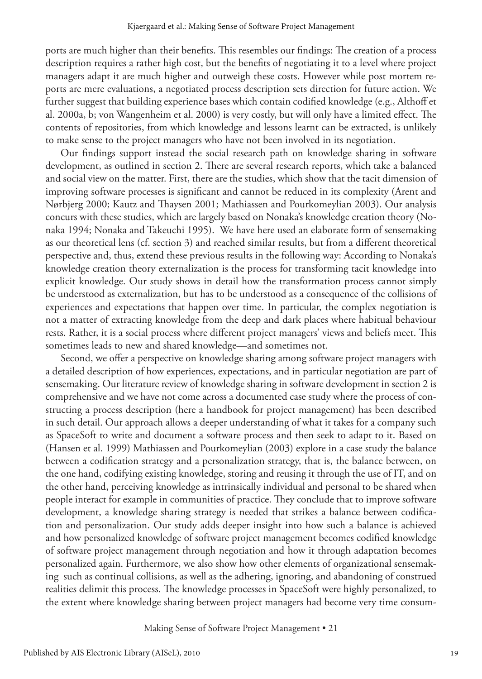ports are much higher than their benefits. This resembles our findings: The creation of a process description requires a rather high cost, but the benefits of negotiating it to a level where project managers adapt it are much higher and outweigh these costs. However while post mortem reports are mere evaluations, a negotiated process description sets direction for future action. We further suggest that building experience bases which contain codified knowledge (e.g., Althoff et al. 2000a, b; von Wangenheim et al. 2000) is very costly, but will only have a limited effect. The contents of repositories, from which knowledge and lessons learnt can be extracted, is unlikely to make sense to the project managers who have not been involved in its negotiation.

Our findings support instead the social research path on knowledge sharing in software development, as outlined in section 2. There are several research reports, which take a balanced and social view on the matter. First, there are the studies, which show that the tacit dimension of improving software processes is significant and cannot be reduced in its complexity (Arent and Nørbjerg 2000; Kautz and Thaysen 2001; Mathiassen and Pourkomeylian 2003). Our analysis concurs with these studies, which are largely based on Nonaka's knowledge creation theory (Nonaka 1994; Nonaka and Takeuchi 1995). We have here used an elaborate form of sensemaking as our theoretical lens (cf. section 3) and reached similar results, but from a different theoretical perspective and, thus, extend these previous results in the following way: According to Nonaka's knowledge creation theory externalization is the process for transforming tacit knowledge into explicit knowledge. Our study shows in detail how the transformation process cannot simply be understood as externalization, but has to be understood as a consequence of the collisions of experiences and expectations that happen over time. In particular, the complex negotiation is not a matter of extracting knowledge from the deep and dark places where habitual behaviour rests. Rather, it is a social process where different project managers' views and beliefs meet. This sometimes leads to new and shared knowledge—and sometimes not.

Second, we offer a perspective on knowledge sharing among software project managers with a detailed description of how experiences, expectations, and in particular negotiation are part of sensemaking. Our literature review of knowledge sharing in software development in section 2 is comprehensive and we have not come across a documented case study where the process of constructing a process description (here a handbook for project management) has been described in such detail. Our approach allows a deeper understanding of what it takes for a company such as SpaceSoft to write and document a software process and then seek to adapt to it. Based on (Hansen et al. 1999) Mathiassen and Pourkomeylian (2003) explore in a case study the balance between a codification strategy and a personalization strategy, that is, the balance between, on the one hand, codifying existing knowledge, storing and reusing it through the use of IT, and on the other hand, perceiving knowledge as intrinsically individual and personal to be shared when people interact for example in communities of practice. They conclude that to improve software development, a knowledge sharing strategy is needed that strikes a balance between codification and personalization. Our study adds deeper insight into how such a balance is achieved and how personalized knowledge of software project management becomes codified knowledge of software project management through negotiation and how it through adaptation becomes personalized again. Furthermore, we also show how other elements of organizational sensemaking such as continual collisions, as well as the adhering, ignoring, and abandoning of construed realities delimit this process. The knowledge processes in SpaceSoft were highly personalized, to the extent where knowledge sharing between project managers had become very time consum-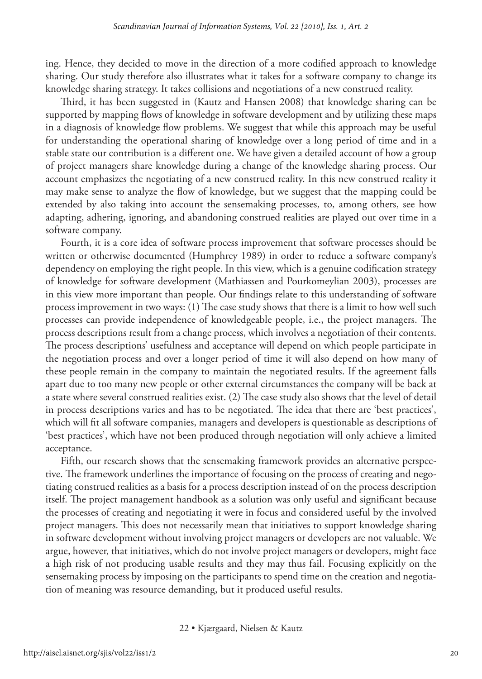ing. Hence, they decided to move in the direction of a more codified approach to knowledge sharing. Our study therefore also illustrates what it takes for a software company to change its knowledge sharing strategy. It takes collisions and negotiations of a new construed reality.

Third, it has been suggested in (Kautz and Hansen 2008) that knowledge sharing can be supported by mapping flows of knowledge in software development and by utilizing these maps in a diagnosis of knowledge flow problems. We suggest that while this approach may be useful for understanding the operational sharing of knowledge over a long period of time and in a stable state our contribution is a different one. We have given a detailed account of how a group of project managers share knowledge during a change of the knowledge sharing process. Our account emphasizes the negotiating of a new construed reality. In this new construed reality it may make sense to analyze the flow of knowledge, but we suggest that the mapping could be extended by also taking into account the sensemaking processes, to, among others, see how adapting, adhering, ignoring, and abandoning construed realities are played out over time in a software company.

Fourth, it is a core idea of software process improvement that software processes should be written or otherwise documented (Humphrey 1989) in order to reduce a software company's dependency on employing the right people. In this view, which is a genuine codification strategy of knowledge for software development (Mathiassen and Pourkomeylian 2003), processes are in this view more important than people. Our findings relate to this understanding of software process improvement in two ways: (1) The case study shows that there is a limit to how well such processes can provide independence of knowledgeable people, i.e., the project managers. The process descriptions result from a change process, which involves a negotiation of their contents. The process descriptions' usefulness and acceptance will depend on which people participate in the negotiation process and over a longer period of time it will also depend on how many of these people remain in the company to maintain the negotiated results. If the agreement falls apart due to too many new people or other external circumstances the company will be back at a state where several construed realities exist. (2) The case study also shows that the level of detail in process descriptions varies and has to be negotiated. The idea that there are 'best practices', which will fit all software companies, managers and developers is questionable as descriptions of 'best practices', which have not been produced through negotiation will only achieve a limited acceptance.

Fifth, our research shows that the sensemaking framework provides an alternative perspective. The framework underlines the importance of focusing on the process of creating and negotiating construed realities as a basis for a process description instead of on the process description itself. The project management handbook as a solution was only useful and significant because the processes of creating and negotiating it were in focus and considered useful by the involved project managers. This does not necessarily mean that initiatives to support knowledge sharing in software development without involving project managers or developers are not valuable. We argue, however, that initiatives, which do not involve project managers or developers, might face a high risk of not producing usable results and they may thus fail. Focusing explicitly on the sensemaking process by imposing on the participants to spend time on the creation and negotiation of meaning was resource demanding, but it produced useful results.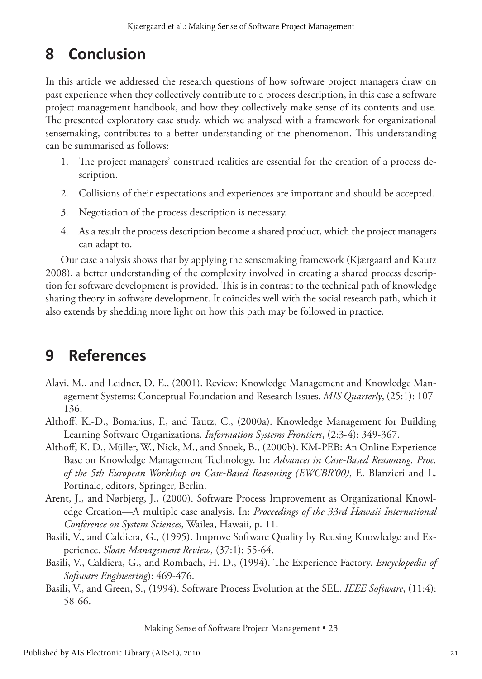# **8 Conclusion**

In this article we addressed the research questions of how software project managers draw on past experience when they collectively contribute to a process description, in this case a software project management handbook, and how they collectively make sense of its contents and use. The presented exploratory case study, which we analysed with a framework for organizational sensemaking, contributes to a better understanding of the phenomenon. This understanding can be summarised as follows:

- 1. The project managers' construed realities are essential for the creation of a process description.
- 2. Collisions of their expectations and experiences are important and should be accepted.
- 3. Negotiation of the process description is necessary.
- 4. As a result the process description become a shared product, which the project managers can adapt to.

Our case analysis shows that by applying the sensemaking framework (Kjærgaard and Kautz 2008), a better understanding of the complexity involved in creating a shared process description for software development is provided. This is in contrast to the technical path of knowledge sharing theory in software development. It coincides well with the social research path, which it also extends by shedding more light on how this path may be followed in practice.

# **9 References**

- Alavi, M., and Leidner, D. E., (2001). Review: Knowledge Management and Knowledge Management Systems: Conceptual Foundation and Research Issues. *MIS Quarterly*, (25:1): 107- 136.
- Althoff, K.-D., Bomarius, F., and Tautz, C., (2000a). Knowledge Management for Building Learning Software Organizations. *Information Systems Frontiers*, (2:3-4): 349-367.
- Althoff, K. D., Müller, W., Nick, M., and Snoek, B., (2000b). KM-PEB: An Online Experience Base on Knowledge Management Technology. In: *Advances in Case-Based Reasoning. Proc. of the 5th European Workshop on Case-Based Reasoning (EWCBR'00)*, E. Blanzieri and L. Portinale, editors, Springer, Berlin.
- Arent, J., and Nørbjerg, J., (2000). Software Process Improvement as Organizational Knowledge Creation—A multiple case analysis. In: *Proceedings of the 33rd Hawaii International Conference on System Sciences*, Wailea, Hawaii, p. 11.
- Basili, V., and Caldiera, G., (1995). Improve Software Quality by Reusing Knowledge and Experience. *Sloan Management Review*, (37:1): 55-64.
- Basili, V., Caldiera, G., and Rombach, H. D., (1994). The Experience Factory. *Encyclopedia of Software Engineering*): 469-476.
- Basili, V., and Green, S., (1994). Software Process Evolution at the SEL. *IEEE Software*, (11:4): 58-66.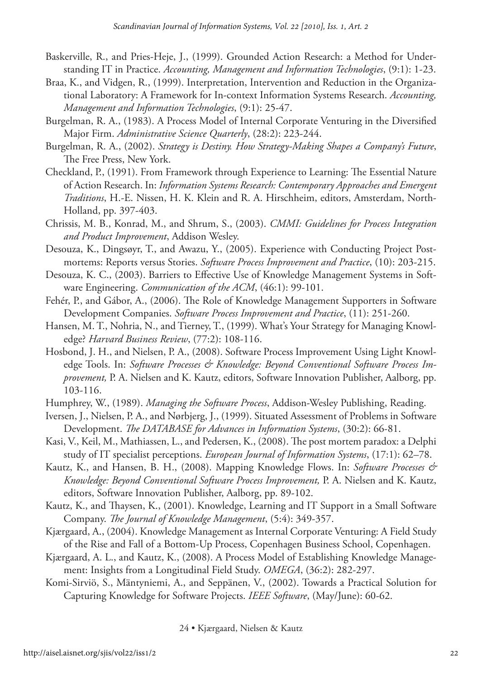- Baskerville, R., and Pries-Heje, J., (1999). Grounded Action Research: a Method for Understanding IT in Practice. *Accounting, Management and Information Technologies*, (9:1): 1-23.
- Braa, K., and Vidgen, R., (1999). Interpretation, Intervention and Reduction in the Organizational Laboratory: A Framework for In-context Information Systems Research. *Accounting, Management and Information Technologies*, (9:1): 25-47.
- Burgelman, R. A., (1983). A Process Model of Internal Corporate Venturing in the Diversified Major Firm. *Administrative Science Quarterly*, (28:2): 223-244.
- Burgelman, R. A., (2002). *Strategy is Destiny. How Strategy-Making Shapes a Company's Future*, The Free Press, New York.
- Checkland, P., (1991). From Framework through Experience to Learning: The Essential Nature of Action Research. In: *Information Systems Research: Contemporary Approaches and Emergent Traditions*, H.-E. Nissen, H. K. Klein and R. A. Hirschheim, editors, Amsterdam, North-Holland, pp. 397-403.
- Chrissis, M. B., Konrad, M., and Shrum, S., (2003). *CMMI: Guidelines for Process Integration and Product Improvement*, Addison Wesley.
- Desouza, K., Dingsøyr, T., and Awazu, Y., (2005). Experience with Conducting Project Postmortems: Reports versus Stories. *Software Process Improvement and Practice*, (10): 203-215.
- Desouza, K. C., (2003). Barriers to Effective Use of Knowledge Management Systems in Software Engineering. *Communication of the ACM*, (46:1): 99-101.
- Fehér, P., and Gábor, A., (2006). The Role of Knowledge Management Supporters in Software Development Companies. *Software Process Improvement and Practice*, (11): 251-260.
- Hansen, M. T., Nohria, N., and Tierney, T., (1999). What's Your Strategy for Managing Knowledge? *Harvard Business Review*, (77:2): 108-116.
- Hosbond, J. H., and Nielsen, P. A., (2008). Software Process Improvement Using Light Knowledge Tools. In: *Software Processes & Knowledge: Beyond Conventional Software Process Improvement,* P. A. Nielsen and K. Kautz, editors, Software Innovation Publisher, Aalborg, pp. 103-116.
- Humphrey, W., (1989). *Managing the Software Process*, Addison-Wesley Publishing, Reading.
- Iversen, J., Nielsen, P. A., and Nørbjerg, J., (1999). Situated Assessment of Problems in Software Development. *The DATABASE for Advances in Information Systems*, (30:2): 66-81.
- Kasi, V., Keil, M., Mathiassen, L., and Pedersen, K., (2008). The post mortem paradox: a Delphi study of IT specialist perceptions. *European Journal of Information Systems*, (17:1): 62–78.
- Kautz, K., and Hansen, B. H., (2008). Mapping Knowledge Flows. In: *Software Processes & Knowledge: Beyond Conventional Software Process Improvement,* P. A. Nielsen and K. Kautz, editors, Software Innovation Publisher, Aalborg, pp. 89-102.
- Kautz, K., and Thaysen, K., (2001). Knowledge, Learning and IT Support in a Small Software Company. *The Journal of Knowledge Management*, (5:4): 349-357.
- Kjærgaard, A., (2004). Knowledge Management as Internal Corporate Venturing: A Field Study of the Rise and Fall of a Bottom-Up Process, Copenhagen Business School, Copenhagen.
- Kjærgaard, A. L., and Kautz, K., (2008). A Process Model of Establishing Knowledge Management: Insights from a Longitudinal Field Study. *OMEGA*, (36:2): 282-297.
- Komi-Sirviö, S., Mäntyniemi, A., and Seppänen, V., (2002). Towards a Practical Solution for Capturing Knowledge for Software Projects. *IEEE Software*, (May/June): 60-62.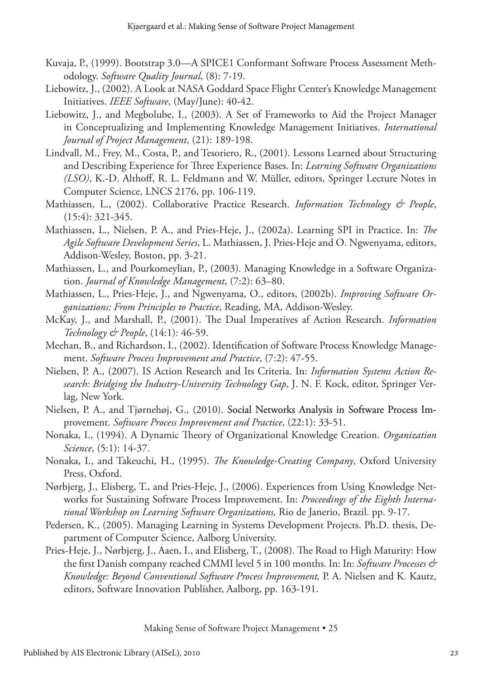- Kuvaja, P., (1999). Bootstrap 3.0—A SPICE1 Conformant Software Process Assessment Methodology. *Software Quality Journal*, (8): 7-19.
- Liebowitz, J., (2002). A Look at NASA Goddard Space Flight Center's Knowledge Management Initiatives. *IEEE Software*, (May/June): 40-42.
- Liebowitz, J., and Megbolube, I., (2003). A Set of Frameworks to Aid the Project Manager in Conceptualizing and Implementing Knowledge Management Initiatives. *International Journal of Project Management*, (21): 189-198.
- Lindvall, M., Frey, M., Costa, P., and Tesoriero, R., (2001). Lessons Learned about Structuring and Describing Experience for Three Experience Bases. In: *Learning Software Organizations (LSO)*, K.-D. Althoff, R. L. Feldmann and W. Müller, editors, Springer Lecture Notes in Computer Science, LNCS 2176, pp. 106-119.
- Mathiassen, L., (2002). Collaborative Practice Research. *Information Technology & People*, (15:4): 321-345.
- Mathiassen, L., Nielsen, P. A., and Pries-Heje, J., (2002a). Learning SPI in Practice. In: *The Agile Software Development Series*, L. Mathiassen, J. Pries-Heje and O. Ngwenyama, editors, Addison-Wesley, Boston, pp. 3-21.
- Mathiassen, L., and Pourkomeylian, P., (2003). Managing Knowledge in a Software Organization. *Journal of Knowledge Management*, (7:2): 63–80.
- Mathiassen, L., Pries-Heje, J., and Ngwenyama, O., editors, (2002b). *Improving Software Organizations: From Principles to Practice*, Reading, MA, Addison-Wesley.
- McKay, J., and Marshall, P., (2001). The Dual Imperatives af Action Research. *Information Technology & People*, (14:1): 46-59.
- Meehan, B., and Richardson, I., (2002). Identification of Software Process Knowledge Management. *Software Process Improvement and Practice*, (7:2): 47-55.
- Nielsen, P. A., (2007). IS Action Research and Its Criteria. In: *Information Systems Action Research: Bridging the Industry-University Technology Gap*, J. N. F. Kock, editor, Springer Verlag, New York.
- Nielsen, P. A., and Tjørnehøj, G., (2010). Social Networks Analysis in Software Process Improvement. *Software Process Improvement and Practice*, (22:1): 33-51.
- Nonaka, I., (1994). A Dynamic Theory of Organizational Knowledge Creation. *Organization Science*, (5:1): 14-37.
- Nonaka, I., and Takeuchi, H., (1995). *The Knowledge-Creating Company*, Oxford University Press, Oxford.
- Nørbjerg, J., Elisberg, T., and Pries-Heje, J., (2006). Experiences from Using Knowledge Networks for Sustaining Software Process Improvement. In: *Proceedings of the Eighth International Workshop on Learning Software Organizations,* Rio de Janerio, Brazil. pp. 9-17.
- Pedersen, K., (2005). Managing Learning in Systems Development Projects. Ph.D. thesis, Department of Computer Science, Aalborg University.
- Pries-Heje, J., Nørbjerg, J., Aaen, I., and Elisberg, T., (2008). The Road to High Maturity: How the first Danish company reached CMMI level 5 in 100 months. In: In: *Software Processes & Knowledge: Beyond Conventional Software Process Improvement,* P. A. Nielsen and K. Kautz, editors, Software Innovation Publisher, Aalborg, pp. 163-191.